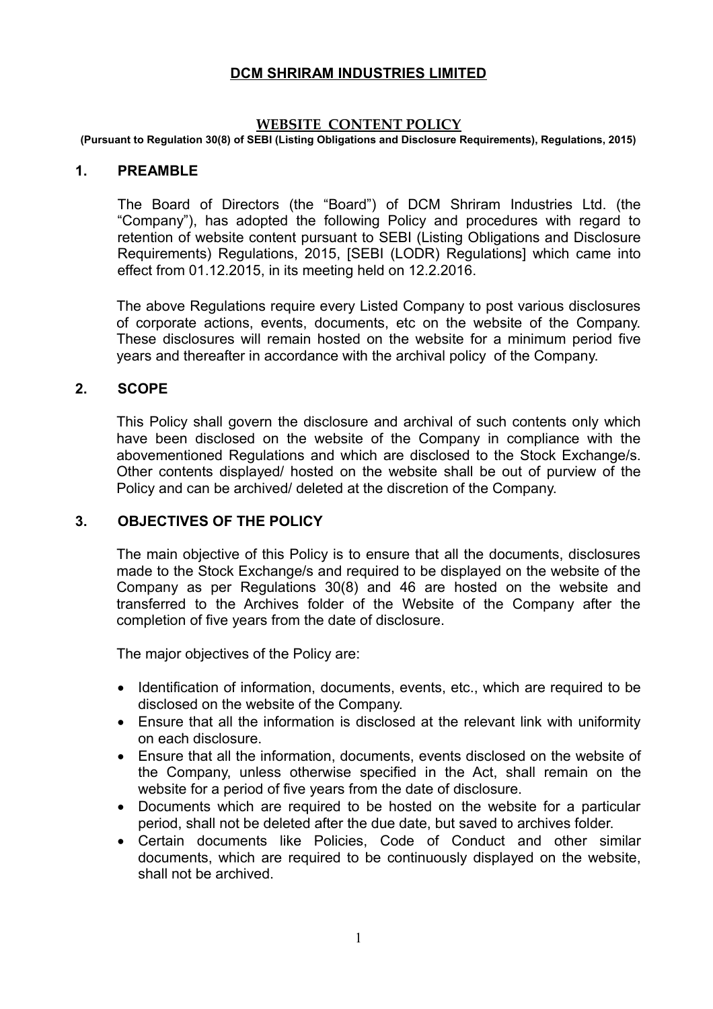## **DCM SHRIRAM INDUSTRIES LIMITED**

#### **WEBSITE CONTENT POLICY**

**(Pursuant to Regulation 30(8) of SEBI (Listing Obligations and Disclosure Requirements), Regulations, 2015)**

#### **1. PREAMBLE**

The Board of Directors (the "Board") of DCM Shriram Industries Ltd. (the "Company"), has adopted the following Policy and procedures with regard to retention of website content pursuant to SEBI (Listing Obligations and Disclosure Requirements) Regulations, 2015, [SEBI (LODR) Regulations] which came into effect from 01.12.2015, in its meeting held on 12.2.2016.

The above Regulations require every Listed Company to post various disclosures of corporate actions, events, documents, etc on the website of the Company. These disclosures will remain hosted on the website for a minimum period five years and thereafter in accordance with the archival policy of the Company.

#### **2. SCOPE**

This Policy shall govern the disclosure and archival of such contents only which have been disclosed on the website of the Company in compliance with the abovementioned Regulations and which are disclosed to the Stock Exchange/s. Other contents displayed/ hosted on the website shall be out of purview of the Policy and can be archived/ deleted at the discretion of the Company.

### **3. OBJECTIVES OF THE POLICY**

The main objective of this Policy is to ensure that all the documents, disclosures made to the Stock Exchange/s and required to be displayed on the website of the Company as per Regulations 30(8) and 46 are hosted on the website and transferred to the Archives folder of the Website of the Company after the completion of five years from the date of disclosure.

The major objectives of the Policy are:

- Identification of information, documents, events, etc., which are required to be disclosed on the website of the Company.
- Ensure that all the information is disclosed at the relevant link with uniformity on each disclosure.
- Ensure that all the information, documents, events disclosed on the website of the Company, unless otherwise specified in the Act, shall remain on the website for a period of five years from the date of disclosure.
- Documents which are required to be hosted on the website for a particular period, shall not be deleted after the due date, but saved to archives folder.
- Certain documents like Policies, Code of Conduct and other similar documents, which are required to be continuously displayed on the website, shall not be archived.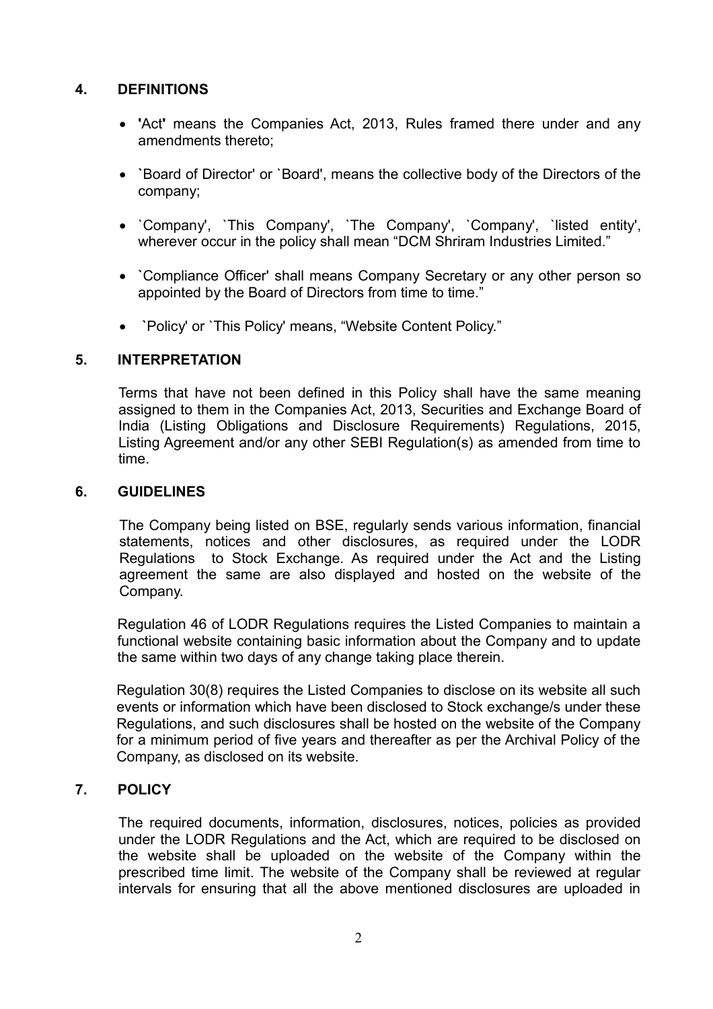# **4. DEFINITIONS**

- **'**Act**'** means the Companies Act, 2013, Rules framed there under and any amendments thereto;
- **`**Board of Director' or `Board', means the collective body of the Directors of the company;
- `Company', `This Company', `The Company', `Company', `listed entity', wherever occur in the policy shall mean "DCM Shriram Industries Limited."
- **`**Compliance Officer' shall means Company Secretary or any other person so appointed by the Board of Directors from time to time."
- **`**Policy' or `This Policy' means, "Website Content Policy."

# **5. INTERPRETATION**

Terms that have not been defined in this Policy shall have the same meaning assigned to them in the Companies Act, 2013, Securities and Exchange Board of India (Listing Obligations and Disclosure Requirements) Regulations, 2015, Listing Agreement and/or any other SEBI Regulation(s) as amended from time to time.

## **6. GUIDELINES**

The Company being listed on BSE, regularly sends various information, financial statements, notices and other disclosures, as required under the LODR Regulations to Stock Exchange. As required under the Act and the Listing agreement the same are also displayed and hosted on the website of the Company.

Regulation 46 of LODR Regulations requires the Listed Companies to maintain a functional website containing basic information about the Company and to update the same within two days of any change taking place therein.

Regulation 30(8) requires the Listed Companies to disclose on its website all such events or information which have been disclosed to Stock exchange/s under these Regulations, and such disclosures shall be hosted on the website of the Company for a minimum period of five years and thereafter as per the Archival Policy of the Company, as disclosed on its website.

# **7. POLICY**

The required documents, information, disclosures, notices, policies as provided under the LODR Regulations and the Act, which are required to be disclosed on the website shall be uploaded on the website of the Company within the prescribed time limit. The website of the Company shall be reviewed at regular intervals for ensuring that all the above mentioned disclosures are uploaded in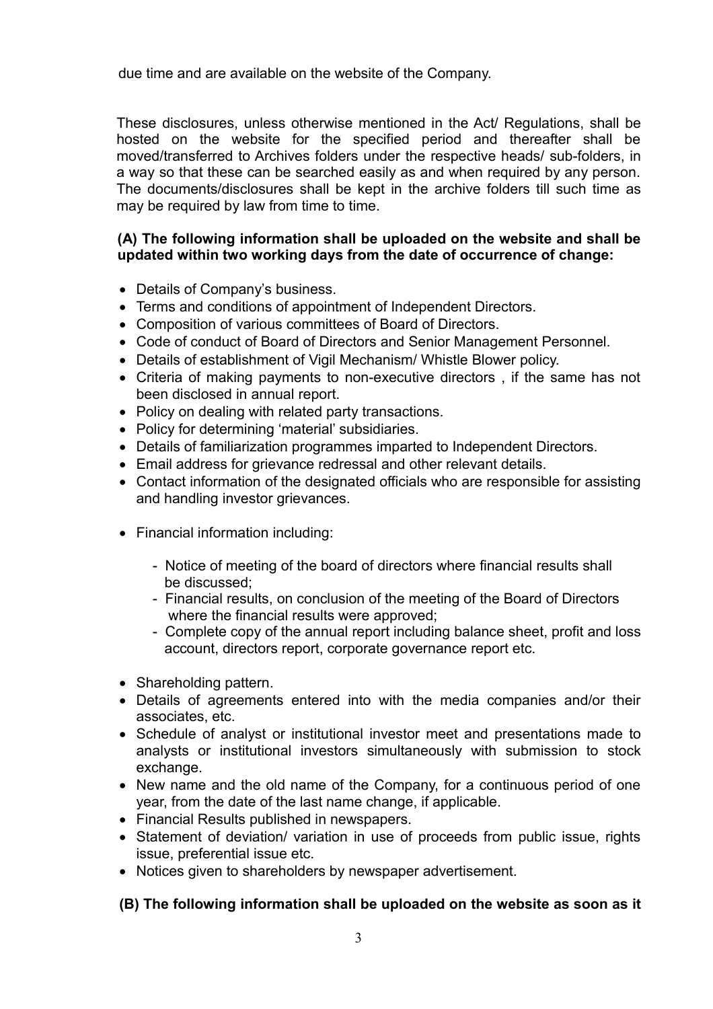due time and are available on the website of the Company.

These disclosures, unless otherwise mentioned in the Act/ Regulations, shall be hosted on the website for the specified period and thereafter shall be moved/transferred to Archives folders under the respective heads/ sub-folders, in a way so that these can be searched easily as and when required by any person. The documents/disclosures shall be kept in the archive folders till such time as may be required by law from time to time.

## **(A) The following information shall be uploaded on the website and shall be updated within two working days from the date of occurrence of change:**

- Details of Company's business.
- Terms and conditions of appointment of Independent Directors.
- Composition of various committees of Board of Directors.
- Code of conduct of Board of Directors and Senior Management Personnel.
- Details of establishment of Vigil Mechanism/ Whistle Blower policy.
- Criteria of making payments to non-executive directors , if the same has not been disclosed in annual report.
- Policy on dealing with related party transactions.
- Policy for determining 'material' subsidiaries.
- Details of familiarization programmes imparted to Independent Directors.
- Email address for grievance redressal and other relevant details.
- Contact information of the designated officials who are responsible for assisting and handling investor grievances.
- Financial information including:
	- Notice of meeting of the board of directors where financial results shall be discussed;
	- Financial results, on conclusion of the meeting of the Board of Directors where the financial results were approved:
	- Complete copy of the annual report including balance sheet, profit and loss account, directors report, corporate governance report etc.
- Shareholding pattern.
- Details of agreements entered into with the media companies and/or their associates, etc.
- Schedule of analyst or institutional investor meet and presentations made to analysts or institutional investors simultaneously with submission to stock exchange.
- New name and the old name of the Company, for a continuous period of one year, from the date of the last name change, if applicable.
- Financial Results published in newspapers.
- Statement of deviation/ variation in use of proceeds from public issue, rights issue, preferential issue etc.
- Notices given to shareholders by newspaper advertisement.

### **(B) The following information shall be uploaded on the website as soon as it**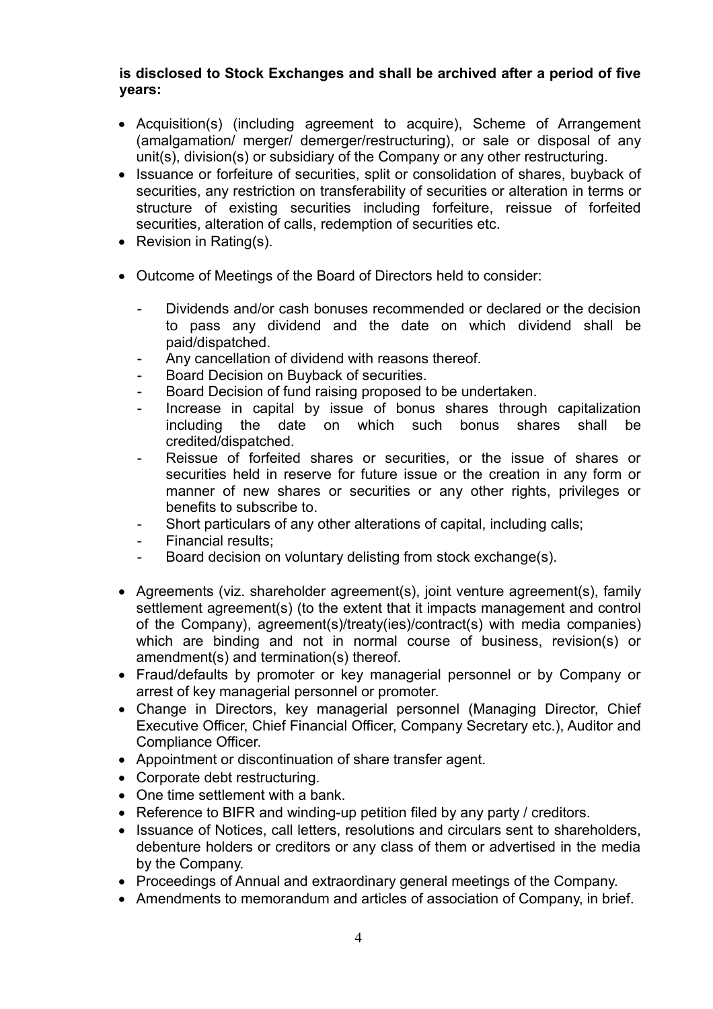## **is disclosed to Stock Exchanges and shall be archived after a period of five years:**

- Acquisition(s) (including agreement to acquire), Scheme of Arrangement (amalgamation/ merger/ demerger/restructuring), or sale or disposal of any unit(s), division(s) or subsidiary of the Company or any other restructuring.
- Issuance or forfeiture of securities, split or consolidation of shares, buyback of securities, any restriction on transferability of securities or alteration in terms or structure of existing securities including forfeiture, reissue of forfeited securities, alteration of calls, redemption of securities etc.
- Revision in Rating(s).
- Outcome of Meetings of the Board of Directors held to consider:
	- Dividends and/or cash bonuses recommended or declared or the decision to pass any dividend and the date on which dividend shall be paid/dispatched.
	- Any cancellation of dividend with reasons thereof.
	- Board Decision on Buyback of securities.
	- Board Decision of fund raising proposed to be undertaken.
	- Increase in capital by issue of bonus shares through capitalization including the date on which such bonus shares shall be credited/dispatched.
	- Reissue of forfeited shares or securities, or the issue of shares or securities held in reserve for future issue or the creation in any form or manner of new shares or securities or any other rights, privileges or benefits to subscribe to.
	- Short particulars of any other alterations of capital, including calls;
	- Financial results;
	- Board decision on voluntary delisting from stock exchange(s).
- Agreements (viz. shareholder agreement(s), joint venture agreement(s), family settlement agreement(s) (to the extent that it impacts management and control of the Company), agreement(s)/treaty(ies)/contract(s) with media companies) which are binding and not in normal course of business, revision(s) or amendment(s) and termination(s) thereof.
- Fraud/defaults by promoter or key managerial personnel or by Company or arrest of key managerial personnel or promoter.
- Change in Directors, key managerial personnel (Managing Director, Chief Executive Officer, Chief Financial Officer, Company Secretary etc.), Auditor and Compliance Officer.
- Appointment or discontinuation of share transfer agent.
- Corporate debt restructuring.
- One time settlement with a bank.
- Reference to BIFR and winding-up petition filed by any party / creditors.
- Issuance of Notices, call letters, resolutions and circulars sent to shareholders, debenture holders or creditors or any class of them or advertised in the media by the Company.
- Proceedings of Annual and extraordinary general meetings of the Company.
- Amendments to memorandum and articles of association of Company, in brief.